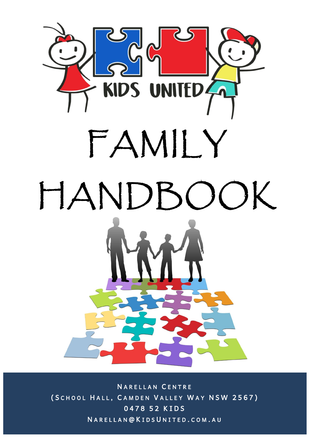

**NARELLAN CENTRE** ( SCHOOL HALL, CAMDEN VALLEY WAY NSW 2567) 0478 52 KIDS N A R E L L A N @ K I D S U N I T E D . C O M . A U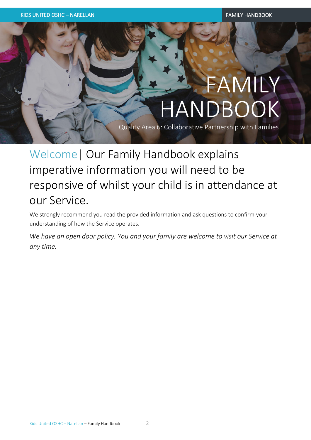# FAMILY HANDBOOK

Quality Area 6: Collaborative Partnership with Families

Welcome| Our Family Handbook explains imperative information you will need to be responsive of whilst your child is in attendance at our Service.

We strongly recommend you read the provided information and ask questions to confirm your understanding of how the Service operates.

*We have an open door policy. You and your family are welcome to visit our Service at any time.*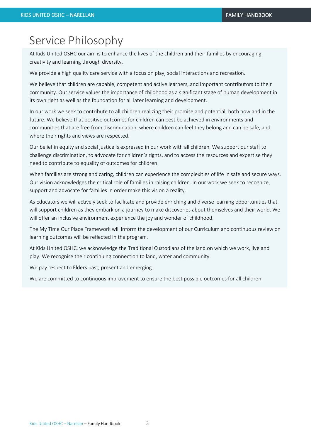# Service Philosophy

At Kids United OSHC our aim is to enhance the lives of the children and their families by encouraging creativity and learning through diversity.

We provide a high quality care service with a focus on play, social interactions and recreation.

We believe that children are capable, competent and active learners, and important contributors to their community. Our service values the importance of childhood as a significant stage of human development in its own right as well as the foundation for all later learning and development.

In our work we seek to contribute to all children realizing their promise and potential, both now and in the future. We believe that positive outcomes for children can best be achieved in environments and communities that are free from discrimination, where children can feel they belong and can be safe, and where their rights and views are respected.

Our belief in equity and social justice is expressed in our work with all children. We support our staff to challenge discrimination, to advocate for children's rights, and to access the resources and expertise they need to contribute to equality of outcomes for children.

When families are strong and caring, children can experience the complexities of life in safe and secure ways. Our vision acknowledges the critical role of families in raising children. In our work we seek to recognize, support and advocate for families in order make this vision a reality.

As Educators we will actively seek to facilitate and provide enriching and diverse learning opportunities that will support children as they embark on a journey to make discoveries about themselves and their world. We will offer an inclusive environment experience the joy and wonder of childhood.

The My Time Our Place Framework will inform the development of our Curriculum and continuous review on learning outcomes will be reflected in the program.

At Kids United OSHC, we acknowledge the Traditional Custodians of the land on which we work, live and play. We recognise their continuing connection to land, water and community.

We pay respect to Elders past, present and emerging.

We are committed to continuous improvement to ensure the best possible outcomes for all children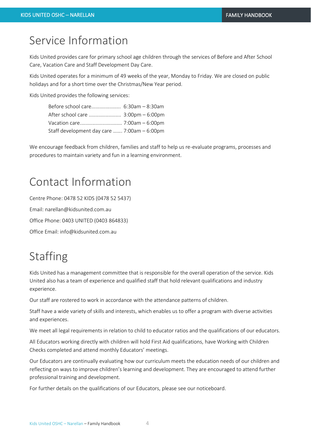# Service Information

Kids United provides care for primary school age children through the services of Before and After School Care, Vacation Care and Staff Development Day Care.

Kids United operates for a minimum of 49 weeks of the year, Monday to Friday. We are closed on public holidays and for a short time over the Christmas/New Year period.

Kids United provides the following services:

| Before school care 6:30am - 8:30am          |  |
|---------------------------------------------|--|
| After school care  3:00pm - 6:00pm          |  |
|                                             |  |
| Staff development day care  7:00am - 6:00pm |  |

We encourage feedback from children, families and staff to help us re-evaluate programs, processes and procedures to maintain variety and fun in a learning environment.

# Contact Information

Centre Phone: 0478 52 KIDS (0478 52 5437) Email: narellan@kidsunited.com.au Office Phone: 0403 UNITED (0403 864833) Office Email: info@kidsunited.com.au

# Staffing

Kids United has a management committee that is responsible for the overall operation of the service. Kids United also has a team of experience and qualified staff that hold relevant qualifications and industry experience.

Our staff are rostered to work in accordance with the attendance patterns of children.

Staff have a wide variety of skills and interests, which enables us to offer a program with diverse activities and experiences.

We meet all legal requirements in relation to child to educator ratios and the qualifications of our educators.

All Educators working directly with children will hold First Aid qualifications, have Working with Children Checks completed and attend monthly Educators' meetings.

Our Educators are continually evaluating how our curriculum meets the education needs of our children and reflecting on ways to improve children's learning and development. They are encouraged to attend further professional training and development.

For further details on the qualifications of our Educators, please see our noticeboard.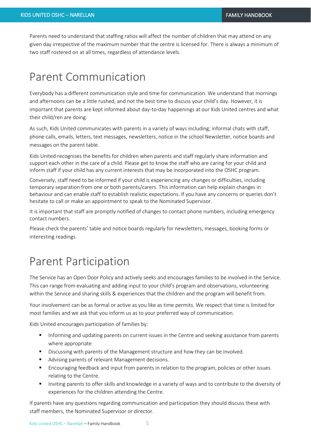Parents need to understand that staffing ratios will affect the number of children that may attend on any given day irrespective of the maximum number that the centre is licensed for. There is always a minimum of two staff rostered on at all times, regardless of attendance levels.

### Parent Communication

Everybody has a different communication style and time for communication. We understand that mornings and afternoons can be a little rushed, and not the best time to discuss your child's day. However, it is important that parents are kept informed about day-to-day happenings at our Kids United centres and what their child/ren are doing.

As such, Kids United communicates with parents in a variety of ways including; informal chats with staff, phone calls, emails, letters, text messages, newsletters, notice in the school Newsletter, notice boards and messages on the parent table.

Kids United recognises the benefits for children when parents and staff regularly share information and support each other in the care of a child. Please get to know the staff who are caring for your child and inform staff if your child has any current interests that may be incorporated into the OSHC program.

Conversely, staff need to be informed if your child is experiencing any changes or difficulties, including temporary separation from one or both parents/carers. This information can help explain changes in behaviour and can enable staff to establish realistic expectations. If you have any concerns or queries don't hesitate to call or make an appointment to speak to the Nominated Supervisor.

It is important that staff are promptly notified of changes to contact phone numbers, including emergency contact numbers.

Please check the parents' table and notice boards regularly for newsletters, messages, booking forms or interesting readings.

### Parent Participation

The Service has an Open Door Policy and actively seeks and encourages families to be involved in the Service. This can range from evaluating and adding input to your child's program and observations, volunteering within the Service and sharing skills & experiences that the children and the program will benefit from.

Your involvement can be as formal or active as you like as time permits. We respect that time is limited for most families and we ask that you inform us as to your preferred way of communication.

Kids United encourages participation of families by:

- **•** Informing and updating parents on current issues in the Centre and seeking assistance from parents where appropriate
- **E** Discussing with parents of the Management structure and how they can be involved.
- Advising parents of relevant Management decisions.
- Encouraging feedback and input from parents in relation to the program, policies or other issues relating to the Centre.
- Inviting parents to offer skills and knowledge in a variety of ways and to contribute to the diversity of experiences for the children attending the Centre.

If parents have any questions regarding communication and participation they should discuss these with staff members, the Nominated Supervisor or director.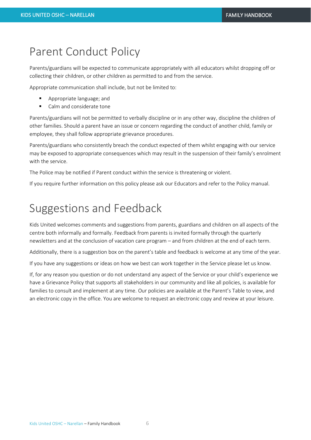#### Parent Conduct Policy

Parents/guardians will be expected to communicate appropriately with all educators whilst dropping off or collecting their children, or other children as permitted to and from the service.

Appropriate communication shall include, but not be limited to:

- Appropriate language; and
- Calm and considerate tone

Parents/guardians will not be permitted to verbally discipline or in any other way, discipline the children of other families. Should a parent have an issue or concern regarding the conduct of another child, family or employee, they shall follow appropriate grievance procedures.

Parents/guardians who consistently breach the conduct expected of them whilst engaging with our service may be exposed to appropriate consequences which may result in the suspension of their family's enrolment with the service.

The Police may be notified if Parent conduct within the service is threatening or violent.

If you require further information on this policy please ask our Educators and refer to the Policy manual.

#### Suggestions and Feedback

Kids United welcomes comments and suggestions from parents, guardians and children on all aspects of the centre both informally and formally. Feedback from parents is invited formally through the quarterly newsletters and at the conclusion of vacation care program – and from children at the end of each term.

Additionally, there is a suggestion box on the parent's table and feedback is welcome at any time of the year.

If you have any suggestions or ideas on how we best can work together in the Service please let us know.

If, for any reason you question or do not understand any aspect of the Service or your child's experience we have a Grievance Policy that supports all stakeholders in our community and like all policies, is available for families to consult and implement at any time. Our policies are available at the Parent's Table to view, and an electronic copy in the office. You are welcome to request an electronic copy and review at your leisure.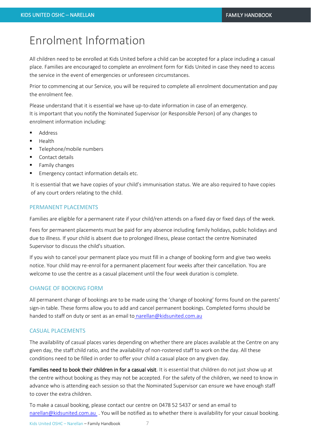### Enrolment Information

All children need to be enrolled at Kids United before a child can be accepted for a place including a casual place. Families are encouraged to complete an enrolment form for Kids United in case they need to access the service in the event of emergencies or unforeseen circumstances.

Prior to commencing at our Service, you will be required to complete all enrolment documentation and pay the enrolment fee.

Please understand that it is essential we have up-to-date information in case of an emergency. It is important that you notify the Nominated Supervisor (or Responsible Person) of any changes to enrolment information including:

- Address
- **Health**
- Telephone/mobile numbers
- Contact details
- Family changes
- Emergency contact information details etc.

It is essential that we have copies of your child's immunisation status. We are also required to have copies of any court orders relating to the child.

#### PERMANENT PLACEMENTS

Families are eligible for a permanent rate if your child/ren attends on a fixed day or fixed days of the week.

Fees for permanent placements must be paid for any absence including family holidays, public holidays and due to illness. If your child is absent due to prolonged illness, please contact the centre Nominated Supervisor to discuss the child's situation.

If you wish to cancel your permanent place you must fill in a change of booking form and give two weeks notice. Your child may re-enrol for a permanent placement four weeks after their cancellation. You are welcome to use the centre as a casual placement until the four week duration is complete.

#### CHANGE OF BOOKING FORM

All permanent change of bookings are to be made using the 'change of booking' forms found on the parents' sign-in table. These forms allow you to add and cancel permanent bookings. Completed forms should be handed to staff on duty or sent as an email to narellan@kidsunited.com.au

#### CASUAL PLACEMENTS

The availability of casual places varies depending on whether there are places available at the Centre on any given day, the staff:child ratio, and the availability of non-rostered staff to work on the day. All these conditions need to be filled in order to offer your child a casual place on any given day.

Families need to book their children in for a casual visit. It is essential that children do not just show up at the centre without booking as they may not be accepted. For the safety of the children, we need to know in advance who is attending each session so that the Nominated Supervisor can ensure we have enough staff to cover the extra children.

To make a casual booking, please contact our centre on 0478 52 5437 or send an email to [narellan@kidsunited.com.au](mailto:narellan@kidsunited.com.au) . You will be notified as to whether there is availability for your casual booking.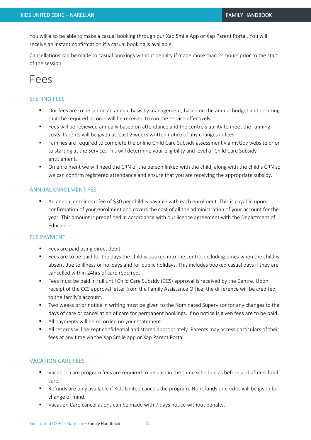You will also be able to make a casual booking through our Xap Smile App or Xap Parent Portal. You will receive an instant confirmation if a casual booking is available.

Cancellations can be made to casual bookings without penalty if made more than 24 hours prior to the start of the session.

#### Fees

#### SEETING FEES

- Our fees are to be set on an annual basis by management, based on the annual budget and ensuring that the required income will be received to run the service effectively.
- Fees will be reviewed annually based on attendance and the centre's ability to meet the running costs. Parents will be given at least 2 weeks written notice of any changes in fees.
- Families are required to complete the online Child Care Subsidy assessment via myGov website prior to starting at the Service. This will determine your eligibility and level of Child Care Subsidy entitlement.
- On enrolment we will need the CRN of the person linked with the child, along with the child's CRN so we can confirm registered attendance and ensure that you are receiving the appropriate subsidy.

#### ANNUAL ENROLMENT FEE

■ An annual enrolment fee of \$30 per child is payable with each enrolment. This is payable upon confirmation of your enrolment and covers the cost of all the administration of your account for the year. This amount is predefined in accordance with our licence agreement with the Department of Education.

#### FEE PAYMENT

- Fees are paid using direct debit.
- Fees are to be paid for the days the child is booked into the centre, including times when the child is absent due to illness or holidays and for public holidays. This includes booked casual days if they are cancelled within 24hrs of care required.
- Fees must be paid in full until Child Care Subsidy (CCS) approval is received by the Centre. Upon receipt of the CCS approval letter from the Family Assistance Office, the difference will be credited to the family's account.
- Two weeks prior notice in writing must be given to the Nominated Supervisor for any changes to the days of care or cancellation of care for permanent bookings. If no notice is given fees are to be paid.
- All payments will be recorded on your statement.
- All records will be kept confidential and stored appropriately. Parents may access particulars of their fees at any time via the Xap Smile app or Xap Parent Portal.

#### VACATION CARE FEES

- Vacation care program fees are required to be paid in the same schedule as before and after school care.
- Refunds are only available if Kids United cancels the program. No refunds or credits will be given for change of mind.
- Vacation Care cancellations can be made with 7 days notice without penalty.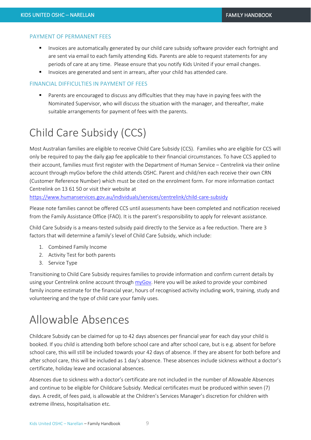#### PAYMENT OF PERMANENT FEES

- Invoices are automatically generated by our child care subsidy software provider each fortnight and are sent via email to each family attending Kids. Parents are able to request statements for any periods of care at any time. Please ensure that you notify Kids United if your email changes.
- Invoices are generated and sent in arrears, after your child has attended care.

#### FINANCIAL DIFFICULTIES IN PAYMENT OF FEES

▪ Parents are encouraged to discuss any difficulties that they may have in paying fees with the Nominated Supervisor, who will discuss the situation with the manager, and thereafter, make suitable arrangements for payment of fees with the parents.

# Child Care Subsidy (CCS)

Most Australian families are eligible to receive Child Care Subsidy (CCS). Families who are eligible for CCS will only be required to pay the daily gap fee applicable to their financial circumstances. To have CCS applied to their account, families must first register with the Department of Human Service – Centrelink via their online account through myGov before the child attends OSHC. Parent and child/ren each receive their own CRN (Customer Reference Number) which must be cited on the enrolment form. For more information contact Centrelink on 13 61 50 or visit their website at

<https://www.humanservices.gov.au/individuals/services/centrelink/child-care-subsidy>

Please note families cannot be offered CCS until assessments have been completed and notification received from the Family Assistance Office (FAO). It is the parent's responsibility to apply for relevant assistance.

Child Care Subsidy is a means-tested subsidy paid directly to the Service as a fee reduction. There are 3 factors that will determine a family's level of Child Care Subsidy, which include:

- 1. Combined Family Income
- 2. Activity Test for both parents
- 3. Service Type

Transitioning to Child Care Subsidy requires families to provide information and confirm current details by using your Centrelink online account through [myGov.](https://my.gov.au/LoginServices/main/login?execution=e2s1) Here you will be asked to provide your combined family income estimate for the financial year, hours of recognised activity including work, training, study and volunteering and the type of child care your family uses.

# Allowable Absences

Childcare Subsidy can be claimed for up to 42 days absences per financial year for each day your child is booked. If you child is attending both before school care and after school care, but is e.g. absent for before school care, this will still be included towards your 42 days of absence. If they are absent for both before and after school care, this will be included as 1 day's absence. These absences include sickness without a doctor's certificate, holiday leave and occasional absences.

Absences due to sickness with a doctor's certificate are not included in the number of Allowable Absences and continue to be eligible for Childcare Subsidy. Medical certificates must be produced within seven (7) days. A credit, of fees paid, is allowable at the Children's Services Manager's discretion for children with extreme illness, hospitalisation etc.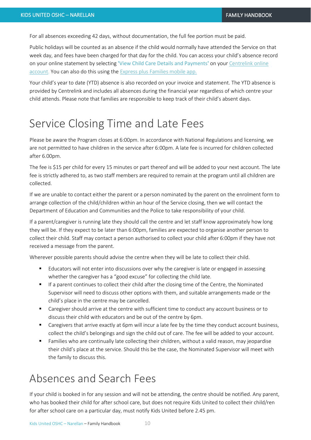For all absences exceeding 42 days, without documentation, the full fee portion must be paid.

Public holidays will be counted as an absence if the child would normally have attended the Service on that week day, and fees have been charged for that day for the child. You can access your child's absence record on your online statement by selecting **'**View Child Care Details and Payments**'** on your [Centrelink online](http://www.humanservices.gov.au/customer/subjects/self-service)  [account.](http://www.humanservices.gov.au/customer/subjects/self-service) You can also do this using the [Express plus Families mobile app.](http://www.humanservices.gov.au/customer/services/express-plus-mobile-apps)

Your child's year to date (YTD) absence is also recorded on your invoice and statement. The YTD absence is provided by Centrelink and includes all absences during the financial year regardless of which centre your child attends. Please note that families are responsible to keep track of their child's absent days.

### Service Closing Time and Late Fees

Please be aware the Program closes at 6:00pm. In accordance with National Regulations and licensing, we are not permitted to have children in the service after 6:00pm. A late fee is incurred for children collected after 6.00pm.

The fee is \$15 per child for every 15 minutes or part thereof and will be added to your next account. The late fee is strictly adhered to, as two staff members are required to remain at the program until all children are collected.

If we are unable to contact either the parent or a person nominated by the parent on the enrolment form to arrange collection of the child/children within an hour of the Service closing, then we will contact the Department of Education and Communities and the Police to take responsibility of your child.

If a parent/caregiver is running late they should call the centre and let staff know approximately how long they will be. If they expect to be later than 6:00pm, families are expected to organise another person to collect their child. Staff may contact a person authorised to collect your child after 6:00pm if they have not received a message from the parent.

Wherever possible parents should advise the centre when they will be late to collect their child.

- Educators will not enter into discussions over why the caregiver is late or engaged in assessing whether the caregiver has a "good excuse" for collecting the child late.
- If a parent continues to collect their child after the closing time of the Centre, the Nominated Supervisor will need to discuss other options with them, and suitable arrangements made or the child's place in the centre may be cancelled.
- Caregiver should arrive at the centre with sufficient time to conduct any account business or to discuss their child with educators and be out of the centre by 6pm.
- Caregivers that arrive exactly at 6pm will incur a late fee by the time they conduct account business, collect the child's belongings and sign the child out of care. The fee will be added to your account.
- Families who are continually late collecting their children, without a valid reason, may jeopardise their child's place at the service. Should this be the case, the Nominated Supervisor will meet with the family to discuss this.

#### Absences and Search Fees

If your child is booked in for any session and will not be attending, the centre should be notified. Any parent, who has booked their child for after school care, but does not require Kids United to collect their child/ren for after school care on a particular day, must notify Kids United before 2.45 pm.

Kids United OSHC – Narellan – Family Handbook 10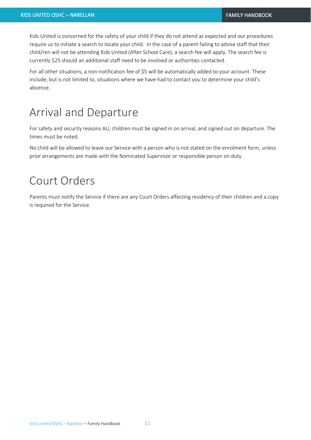Kids United is concerned for the safety of your child if they do not attend as expected and our procedures require us to initiate a search to locate your child. In the case of a parent failing to advise staff that their child/ren will not be attending Kids United (After School Care), a search fee will apply. The search fee is currently \$25 should an additional staff need to be involved or authorities contacted.

For all other situations, a non-notification fee of \$5 will be automatically added to your account. These include, but is not limited to, situations where we have had to contact you to determine your child's absence.

### Arrival and Departure

For safety and security reasons ALL children must be signed in on arrival, and signed out on departure. The times must be noted.

No child will be allowed to leave our Service with a person who is not stated on the enrolment form, unless prior arrangements are made with the Nominated Supervisor or responsible person on duty.

#### Court Orders

Parents must notify the Service if there are any Court Orders affecting residency of their children and a copy is required for the Service.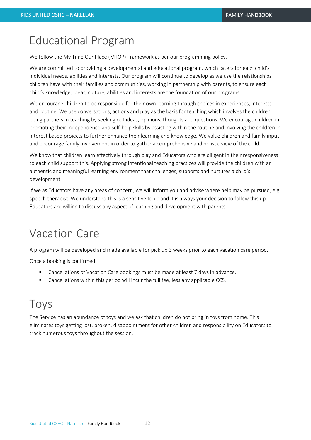# Educational Program

We follow the My Time Our Place (MTOP) Framework as per our programming policy.

We are committed to providing a developmental and educational program, which caters for each child's individual needs, abilities and interests. Our program will continue to develop as we use the relationships children have with their families and communities, working in partnership with parents, to ensure each child's knowledge, ideas, culture, abilities and interests are the foundation of our programs.

We encourage children to be responsible for their own learning through choices in experiences, interests and routine. We use conversations, actions and play as the basis for teaching which involves the children being partners in teaching by seeking out ideas, opinions, thoughts and questions. We encourage children in promoting their independence and self-help skills by assisting within the routine and involving the children in interest based projects to further enhance their learning and knowledge. We value children and family input and encourage family involvement in order to gather a comprehensive and holistic view of the child.

We know that children learn effectively through play and Educators who are diligent in their responsiveness to each child support this. Applying strong intentional teaching practices will provide the children with an authentic and meaningful learning environment that challenges, supports and nurtures a child's development.

If we as Educators have any areas of concern, we will inform you and advise where help may be pursued, e.g. speech therapist. We understand this is a sensitive topic and it is always your decision to follow this up. Educators are willing to discuss any aspect of learning and development with parents.

### Vacation Care

A program will be developed and made available for pick up 3 weeks prior to each vacation care period.

Once a booking is confirmed:

- Cancellations of Vacation Care bookings must be made at least 7 days in advance.
- Cancellations within this period will incur the full fee, less any applicable CCS.

### Toys

The Service has an abundance of toys and we ask that children do not bring in toys from home. This eliminates toys getting lost, broken, disappointment for other children and responsibility on Educators to track numerous toys throughout the session.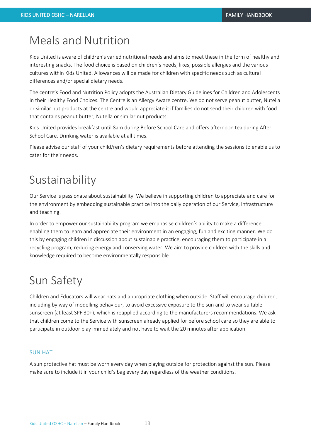# Meals and Nutrition

Kids United is aware of children's varied nutritional needs and aims to meet these in the form of healthy and interesting snacks. The food choice is based on children's needs, likes, possible allergies and the various cultures within Kids United. Allowances will be made for children with specific needs such as cultural differences and/or special dietary needs.

The centre's Food and Nutrition Policy adopts the Australian Dietary Guidelines for Children and Adolescents in their Healthy Food Choices. The Centre is an Allergy Aware centre. We do not serve peanut butter, Nutella or similar nut products at the centre and would appreciate it if families do not send their children with food that contains peanut butter, Nutella or similar nut products.

Kids United provides breakfast until 8am during Before School Care and offers afternoon tea during After School Care. Drinking water is available at all times.

Please advise our staff of your child/ren's dietary requirements before attending the sessions to enable us to cater for their needs.

# Sustainability

Our Service is passionate about sustainability. We believe in supporting children to appreciate and care for the environment by embedding sustainable practice into the daily operation of our Service, infrastructure and teaching.

In order to empower our sustainability program we emphasise children's ability to make a difference, enabling them to learn and appreciate their environment in an engaging, fun and exciting manner. We do this by engaging children in discussion about sustainable practice, encouraging them to participate in a recycling program, reducing energy and conserving water. We aim to provide children with the skills and knowledge required to become environmentally responsible.

### Sun Safety

Children and Educators will wear hats and appropriate clothing when outside. Staff will encourage children, including by way of modelling behaviour, to avoid excessive exposure to the sun and to wear suitable sunscreen (at least SPF 30+), which is reapplied according to the manufacturers recommendations. We ask that children come to the Service with sunscreen already applied for before school care so they are able to participate in outdoor play immediately and not have to wait the 20 minutes after application.

#### SUN HAT

A sun protective hat must be worn every day when playing outside for protection against the sun. Please make sure to include it in your child's bag every day regardless of the weather conditions.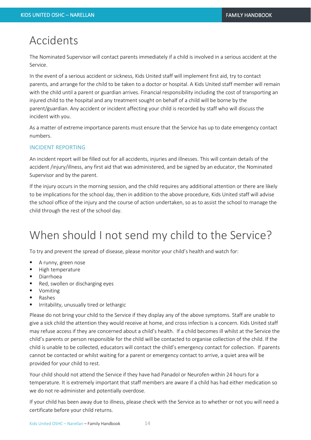### Accidents

The Nominated Supervisor will contact parents immediately if a child is involved in a serious accident at the Service.

In the event of a serious accident or sickness, Kids United staff will implement first aid, try to contact parents, and arrange for the child to be taken to a doctor or hospital. A Kids United staff member will remain with the child until a parent or guardian arrives. Financial responsibility including the cost of transporting an injured child to the hospital and any treatment sought on behalf of a child will be borne by the parent/guardian. Any accident or incident affecting your child is recorded by staff who will discuss the incident with you.

As a matter of extreme importance parents must ensure that the Service has up to date emergency contact numbers.

#### INCIDENT REPORTING

An incident report will be filled out for all accidents, injuries and illnesses. This will contain details of the accident /injury/illness, any first aid that was administered, and be signed by an educator, the Nominated Supervisor and by the parent.

If the injury occurs in the morning session, and the child requires any additional attention or there are likely to be implications for the school day, then in addition to the above procedure, Kids United staff will advise the school office of the injury and the course of action undertaken, so as to assist the school to manage the child through the rest of the school day.

# When should I not send my child to the Service?

To try and prevent the spread of disease, please monitor your child's health and watch for:

- A runny, green nose
- High temperature
- Diarrhoea
- Red, swollen or discharging eyes
- Vomiting
- Rashes
- Irritability, unusually tired or lethargic

Please do not bring your child to the Service if they display any of the above symptoms. Staff are unable to give a sick child the attention they would receive at home, and cross infection is a concern. Kids United staff may refuse access if they are concerned about a child's health. If a child becomes ill whilst at the Service the child's parents or person responsible for the child will be contacted to organise collection of the child. If the child is unable to be collected, educators will contact the child's emergency contact for collection. If parents cannot be contacted or whilst waiting for a parent or emergency contact to arrive, a quiet area will be provided for your child to rest.

Your child should not attend the Service if they have had Panadol or Neurofen within 24 hours for a temperature. It is extremely important that staff members are aware if a child has had either medication so we do not re-administer and potentially overdose.

If your child has been away due to illness, please check with the Service as to whether or not you will need a certificate before your child returns.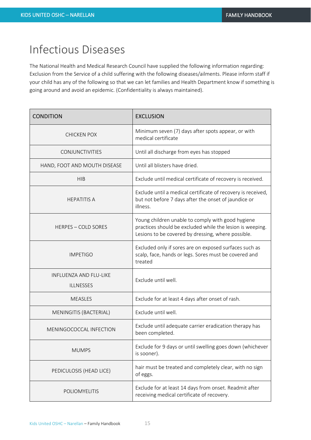### Infectious Diseases

The National Health and Medical Research Council have supplied the following information regarding: Exclusion from the Service of a child suffering with the following diseases/ailments. Please inform staff if your child has any of the following so that we can let families and Health Department know if something is going around and avoid an epidemic. (Confidentiality is always maintained).

| <b>CONDITION</b>                                  | <b>EXCLUSION</b>                                                                                                                                                     |
|---------------------------------------------------|----------------------------------------------------------------------------------------------------------------------------------------------------------------------|
| <b>CHICKEN POX</b>                                | Minimum seven (7) days after spots appear, or with<br>medical certificate                                                                                            |
| <b>CONJUNCTIVITIES</b>                            | Until all discharge from eyes has stopped                                                                                                                            |
| HAND, FOOT AND MOUTH DISEASE                      | Until all blisters have dried.                                                                                                                                       |
| <b>HIB</b>                                        | Exclude until medical certificate of recovery is received.                                                                                                           |
| <b>HEPATITIS A</b>                                | Exclude until a medical certificate of recovery is received,<br>but not before 7 days after the onset of jaundice or<br>illness.                                     |
| <b>HERPES - COLD SORES</b>                        | Young children unable to comply with good hygiene<br>practices should be excluded while the lesion is weeping.<br>Lesions to be covered by dressing, where possible. |
| <b>IMPETIGO</b>                                   | Excluded only if sores are on exposed surfaces such as<br>scalp, face, hands or legs. Sores must be covered and<br>treated                                           |
| <b>INFLUENZA AND FLU-LIKE</b><br><b>ILLNESSES</b> | Exclude until well.                                                                                                                                                  |
| <b>MEASLES</b>                                    | Exclude for at least 4 days after onset of rash.                                                                                                                     |
| MENINGITIS (BACTERIAL)                            | Exclude until well.                                                                                                                                                  |
| MENINGOCOCCAL INFECTION                           | Exclude until adequate carrier eradication therapy has<br>been completed.                                                                                            |
| <b>MUMPS</b>                                      | Exclude for 9 days or until swelling goes down (whichever<br>is sooner).                                                                                             |
| PEDICULOSIS (HEAD LICE)                           | hair must be treated and completely clear, with no sign<br>of eggs.                                                                                                  |
| POLIOMYELITIS                                     | Exclude for at least 14 days from onset. Readmit after<br>receiving medical certificate of recovery.                                                                 |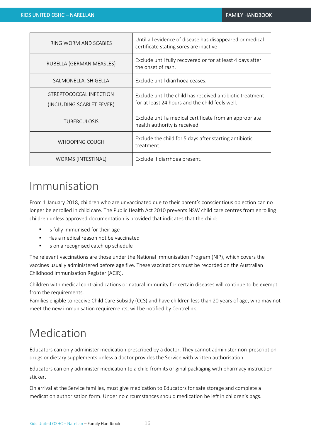| RING WORM AND SCABIES                                | Until all evidence of disease has disappeared or medical<br>certificate stating sores are inactive           |
|------------------------------------------------------|--------------------------------------------------------------------------------------------------------------|
| RUBELLA (GERMAN MEASLES)                             | Exclude until fully recovered or for at least 4 days after<br>the onset of rash.                             |
| SALMONELLA, SHIGELLA                                 | Exclude until diarrhoea ceases.                                                                              |
| STREPTOCOCCAL INFECTION<br>(INCLUDING SCARLET FEVER) | Exclude until the child has received antibiotic treatment<br>for at least 24 hours and the child feels well. |
| <b>TUBERCULOSIS</b>                                  | Exclude until a medical certificate from an appropriate<br>health authority is received.                     |
| WHOOPING COUGH                                       | Exclude the child for 5 days after starting antibiotic<br>treatment.                                         |
| WORMS (INTESTINAL)                                   | Exclude if diarrhoea present.                                                                                |

# Immunisation

From 1 January 2018, children who are unvaccinated due to their parent's conscientious objection can no longer be enrolled in child care. The Public Health Act 2010 prevents NSW child care centres from enrolling children unless approved documentation is provided that indicates that the child:

- Is fully immunised for their age
- Has a medical reason not be vaccinated
- Is on a recognised catch up schedule

The relevant vaccinations are those under the National Immunisation Program (NIP), which covers the vaccines usually administered before age five. These vaccinations must be recorded on the Australian Childhood Immunisation Register (ACIR).

Children with medical contraindications or natural immunity for certain diseases will continue to be exempt from the requirements.

Families eligible to receive Child Care Subsidy (CCS) and have children less than 20 years of age, who may not meet the new immunisation requirements, will be notified by Centrelink.

# Medication

Educators can only administer medication prescribed by a doctor. They cannot administer non-prescription drugs or dietary supplements unless a doctor provides the Service with written authorisation.

Educators can only administer medication to a child from its original packaging with pharmacy instruction sticker.

On arrival at the Service families, must give medication to Educators for safe storage and complete a medication authorisation form. Under no circumstances should medication be left in children's bags.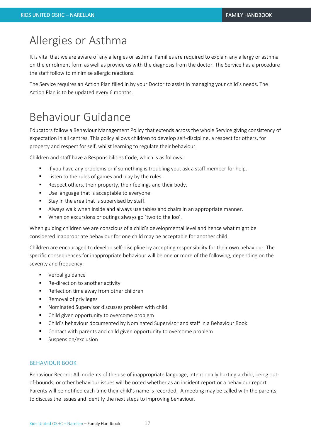# Allergies or Asthma

It is vital that we are aware of any allergies or asthma. Families are required to explain any allergy or asthma on the enrolment form as well as provide us with the diagnosis from the doctor. The Service has a procedure the staff follow to minimise allergic reactions.

The Service requires an Action Plan filled in by your Doctor to assist in managing your child's needs. The Action Plan is to be updated every 6 months.

# Behaviour Guidance

Educators follow a Behaviour Management Policy that extends across the whole Service giving consistency of expectation in all centres. This policy allows children to develop self-discipline, a respect for others, for property and respect for self, whilst learning to regulate their behaviour.

Children and staff have a Responsibilities Code, which is as follows:

- **■** If you have any problems or if something is troubling you, ask a staff member for help.
- Listen to the rules of games and play by the rules.
- Respect others, their property, their feelings and their body.
- Use language that is acceptable to everyone.
- Stay in the area that is supervised by staff.
- Always walk when inside and always use tables and chairs in an appropriate manner.
- When on excursions or outings always go 'two to the loo'.

When guiding children we are conscious of a child's developmental level and hence what might be considered inappropriate behaviour for one child may be acceptable for another child.

Children are encouraged to develop self-discipline by accepting responsibility for their own behaviour. The specific consequences for inappropriate behaviour will be one or more of the following, depending on the severity and frequency:

- Verbal guidance
- Re-direction to another activity
- Reflection time away from other children
- Removal of privileges
- Nominated Supervisor discusses problem with child
- Child given opportunity to overcome problem
- Child's behaviour documented by Nominated Supervisor and staff in a Behaviour Book
- Contact with parents and child given opportunity to overcome problem
- Suspension/exclusion

#### BEHAVIOUR BOOK

Behaviour Record: All incidents of the use of inappropriate language, intentionally hurting a child, being outof-bounds, or other behaviour issues will be noted whether as an incident report or a behaviour report. Parents will be notified each time their child's name is recorded. A meeting may be called with the parents to discuss the issues and identify the next steps to improving behaviour.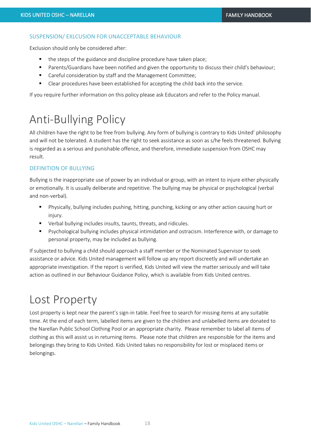#### SUSPENSION/ EXLCUSION FOR UNACCEPTABLE BEHAVIOUR

Exclusion should only be considered after:

- the steps of the guidance and discipline procedure have taken place;
- Parents/Guardians have been notified and given the opportunity to discuss their child's behaviour;
- Careful consideration by staff and the Management Committee;
- Clear procedures have been established for accepting the child back into the service.

If you require further information on this policy please ask Educators and refer to the Policy manual.

# Anti-Bullying Policy

All children have the right to be free from bullying. Any form of bullying is contrary to Kids United' philosophy and will not be tolerated. A student has the right to seek assistance as soon as s/he feels threatened. Bullying is regarded as a serious and punishable offence, and therefore, immediate suspension from OSHC may result.

#### DEFINITION OF BULLYING

Bullying is the inappropriate use of power by an individual or group, with an intent to injure either physically or emotionally. It is usually deliberate and repetitive. The bullying may be physical or psychological (verbal and non-verbal).

- Physically, bullying includes pushing, hitting, punching, kicking or any other action causing hurt or injury.
- Verbal bullying includes insults, taunts, threats, and ridicules.
- Psychological bullying includes physical intimidation and ostracism. Interference with, or damage to personal property, may be included as bullying.

If subjected to bullying a child should approach a staff member or the Nominated Supervisor to seek assistance or advice. Kids United management will follow up any report discreetly and will undertake an appropriate investigation. If the report is verified, Kids United will view the matter seriously and will take action as outlined in our Behaviour Guidance Policy, which is available from Kids United centres.

# Lost Property

Lost property is kept near the parent's sign-in table. Feel free to search for missing items at any suitable time. At the end of each term, labelled items are given to the children and unlabelled items are donated to the Narellan Public School Clothing Pool or an appropriate charity. Please remember to label all items of clothing as this will assist us in returning items. Please note that children are responsible for the items and belongings they bring to Kids United. Kids United takes no responsibility for lost or misplaced items or belongings.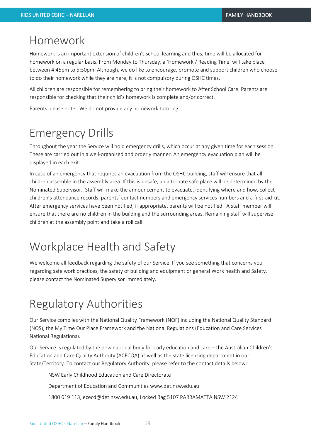#### Homework

Homework is an important extension of children's school learning and thus, time will be allocated for homework on a regular basis. From Monday to Thursday, a 'Homework / Reading Time' will take place between 4:45pm to 5:30pm. Although, we do like to encourage, promote and support children who choose to do their homework while they are here, it is not compulsory during OSHC times.

All children are responsible for remembering to bring their homework to After School Care. Parents are responsible for checking that their child's homework is complete and/or correct.

Parents please note: We do not provide any homework tutoring.

### Emergency Drills

Throughout the year the Service will hold emergency drills, which occur at any given time for each session. These are carried out in a well-organised and orderly manner. An emergency evacuation plan will be displayed in each exit.

In case of an emergency that requires an evacuation from the OSHC building, staff will ensure that all children assemble in the assembly area. If this is unsafe, an alternate safe place will be determined by the Nominated Supervisor. Staff will make the announcement to evacuate, identifying where and how, collect children's attendance records, parents' contact numbers and emergency services numbers and a first-aid kit. After emergency services have been notified, if appropriate, parents will be notified. A staff member will ensure that there are no children in the building and the surrounding areas. Remaining staff will supervise children at the assembly point and take a roll call.

# Workplace Health and Safety

We welcome all feedback regarding the safety of our Service. If you see something that concerns you regarding safe work practices, the safety of building and equipment or general Work health and Safety, please contact the Nominated Supervisor immediately.

# Regulatory Authorities

Our Service complies with the National Quality Framework (NQF) including the National Quality Standard (NQS), the My Time Our Place Framework and the National Regulations (Education and Care Services National Regulations).

Our Service is regulated by the new national body for early education and care – the Australian Children's Education and Care Quality Authority (ACECQA) as well as the state licensing department in our State/Territory. To contact our Regulatory Authority, please refer to the contact details below:

NSW Early Childhood Education and Care Directorate

Department of Education and Communities www.det.nsw.edu.au

1800 619 113, ececd@det.nsw.edu.au, Locked Bag 5107 PARRAMATTA NSW 2124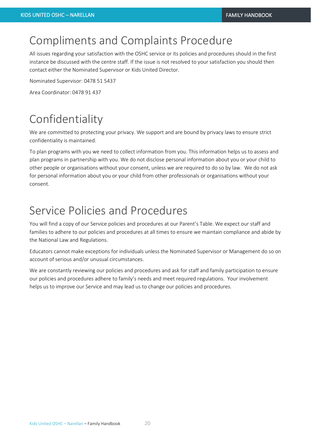### Compliments and Complaints Procedure

All issues regarding your satisfaction with the OSHC service or its policies and procedures should in the first instance be discussed with the centre staff. If the issue is not resolved to your satisfaction you should then contact either the Nominated Supervisor or Kids United Director.

Nominated Supervisor: 0478 51 5437

Area Coordinator: 0478 91 437

# Confidentiality

We are committed to protecting your privacy. We support and are bound by privacy laws to ensure strict confidentiality is maintained.

To plan programs with you we need to collect information from you. This information helps us to assess and plan programs in partnership with you. We do not disclose personal information about you or your child to other people or organisations without your consent, unless we are required to do so by law. We do not ask for personal information about you or your child from other professionals or organisations without your consent.

# Service Policies and Procedures

You will find a copy of our Service policies and procedures at our Parent's Table. We expect our staff and families to adhere to our policies and procedures at all times to ensure we maintain compliance and abide by the National Law and Regulations.

Educators cannot make exceptions for individuals unless the Nominated Supervisor or Management do so on account of serious and/or unusual circumstances.

We are constantly reviewing our policies and procedures and ask for staff and family participation to ensure our policies and procedures adhere to family's needs and meet required regulations. Your involvement helps us to improve our Service and may lead us to change our policies and procedures.